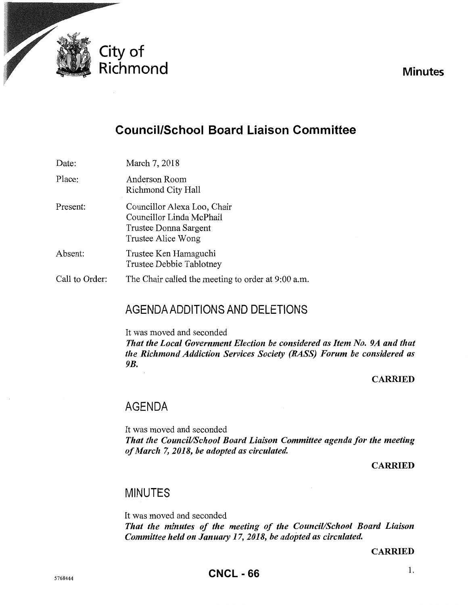

**Minutes** 

# **Council/School Board Liaison Committee**

Date: March 7, 2018

- Place: Anderson Room Richmond City Hall
- Present: Councillor Alexa Loo, Chair Councillor Linda McPhail Trustee Donna Sargent Trustee Alice Wong
- Absent: Trustee Ken Hamaguchi Trustee Debbie Tablotney
- Call to Order: The Chair called the meeting to order at 9:00 a.m.

## AGENDA ADDITIONS AND DELETIONS

It was moved and seconded

*That the Local Government Election be considered as Item No. 9A and that the Richmond Addiction Services Society (RASS) Forum be considered as 9B.* 

#### **CARRIED**

### AGENDA

It was moved and seconded *That the Council/School Board Liaison Committee agenda for the meeting of March* 7, *2018, be adopted as circulated.* 

CARRIED

### MINUTES

It was moved and seconded *That the minutes of the meeting of the Council/School Board Liaison Committee held on January 17, 2018, be adopted as circulated.* 

CARRIED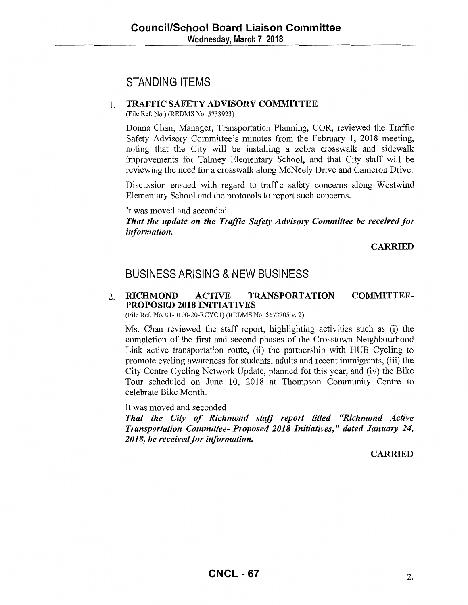## STANDING ITEMS

#### 1. TRAFFIC SAFETY ADVISORY COMMITTEE

(File Ref. No.) (REDMS No. 5738923)

Donna Chan, Manager, Transportation Planning, COR, reviewed the Traffic Safety Advisory Committee's minutes from the February 1, 2018 meeting, noting that the City will be installing a zebra crosswalk and sidewalk improvements for Talmey Elementary School, and that City staff will be reviewing the need for a crosswalk along McNeely Drive and Cameron Drive.

Discussion ensued with regard to traffic safety concerns along Westwind Elementary School and the protocols to report such concerns.

It was moved and seconded

*That the update on the Traffic Safety Advisory Committee be received for information.* 

CARRIED

### BUSINESS ARISING & NEW BUSINESS

#### 2. RICHMOND ACTIVE TRANSPORTATION COMMITTEE-PROPOSED 2018 INITIATIVES

(File Ref. No. 01-0100-20-RCYC1) (REDMS No. 5673705 v. 2)

Ms. Chan reviewed the staff report, highlighting activities such as (i) the completion of the first and second phases of the Crosstown Neighbourhood Link active transportation route, (ii) the partnership with HUB Cycling to promote cycling awareness for students, adults and recent immigrants, (iii) the City Centre Cycling Network Update, planned for this year, and (iv) the Bike Tour scheduled on June 10, 2018 at Thompson Community Centre to celebrate Bike Month.

It was moved and seconded

*That the City of Richmond staff report titled ''Richmond Active Transportation Committee- Proposed 2018 Initiatives," dated January 24,*  2018, be received for information.

**CARRIED**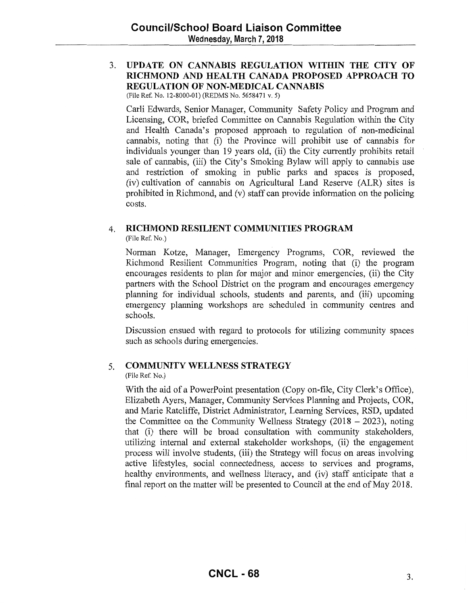#### 3. **UPDATE ON CANNABIS REGULATION WITHIN THE CITY OF RICHMOND AND HEALTH CANADA PROPOSED APPROACH TO REGULATION OF NON-MEDICAL CANNABIS**

(File Ref. No. 12-8000-01) (REDMS No. 5658471 v. 5)

Carli Edwards, Senior Manager, Community Safety Policy and Program and Licensing, COR, briefed Committee on Cannabis Regulation within the City and Health Canada's proposed approach to regulation of non-medicinal cannabis, noting that (i) the Province will prohibit use of cannabis for individuals younger than 19 years old, (ii) the City currently prohibits retail sale of cannabis, (iii) the City's Smoking Bylaw will apply to cannabis use and restriction of smoking in public parks and spaces is proposed, (iv) cultivation of cannabis on Agricultural Land Reserve (ALR) sites is prohibited in Richmond, and (v) staff can provide information on the policing costs.

#### 4. **RICHMOND RESILIENT COMMUNITIES PROGRAM**

(File Ref. No.)

Norman Kotze, Manager, Emergency Programs, COR, reviewed the Richmond Resilient Communities Program, noting that (i) the program encourages residents to plan for major and minor emergencies, (ii) the City partners with the School District on the program and encourages emergency planning for individual schools, students and parents, and (iii) upcoming emergency planning workshops are scheduled in community centres and schools.

Discussion ensued with regard to protocols for utilizing community spaces such as schools during emergencies.

#### 5. **COMMUNITY WELLNESS STRATEGY**

(File Ref. No.)

With the aid of a PowerPoint presentation (Copy on-file, City Clerk's Office), Elizabeth Ayers, Manager, Community Services Planning and Projects, COR, and Marie Ratcliffe, District Administrator, Learning Services, RSD, updated the Committee on the Community Wellness Strategy  $(2018 - 2023)$ , noting that (i) there will be broad consultation with community stakeholders, utilizing internal and external stakeholder workshops, (ii) the engagement process will involve students, (iii) the Strategy will focus on areas involving active lifestyles, social connectedness, access to services and programs, healthy environments, and wellness literacy, and (iv) staff anticipate that a final report on the matter will be presented to Council at the end of May 2018.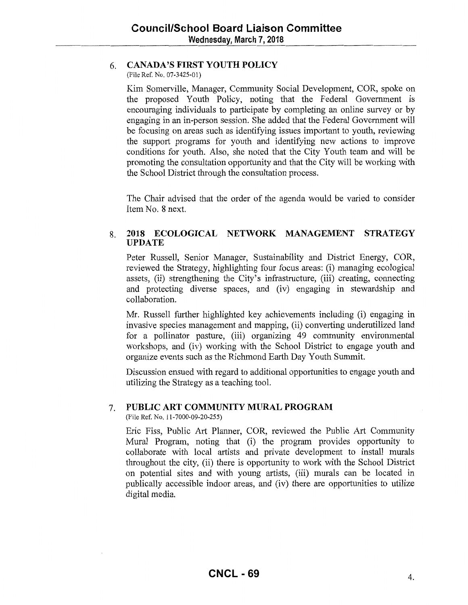#### 6. **CANADA'S FIRST YOUTH POLICY**

(File Ref. No. 07-3425-01)

Kim Somerville, Manager, Community Social Development, COR, spoke on the proposed Youth Policy, noting that the Federal Government is encouraging individuals to participate by completing an online survey or by engaging in an in-person session. She added that the Federal Government will be focusing on areas such as identifying issues important to youth, reviewing the support programs for youth and identifying new actions to improve conditions for youth. Also, she noted that the City Youth team and will be promoting the consultation opportunity and that the City will be working with the School District through the consultation process.

The Chair advised that the order of the agenda would be varied to consider Item No. 8 next.

#### 8. **2018 ECOLOGICAL NETWORK MANAGEMENT STRATEGY UPDATE**

Peter Russell, Senior Manager, Sustainability and District Energy, COR, reviewed the Strategy, highlighting four focus areas: (i) managing ecological assets, (ii) strengthening the City's infrastructure, (iii) creating, connecting and protecting diverse spaces, and (iv) engaging in stewardship and collaboration.

Mr. Russell further highlighted key achievements including (i) engaging in invasive species management and mapping, (ii) converting underutilized land for a pollinator pasture, (iii) organizing 49 community environmental workshops, and (iv) working with the School District to engage youth and organize events such as the Richmond Earth Day Youth Summit.

Discussion ensued with regard to additional opportunities to engage youth and utilizing the Strategy as a teaching tool.

#### 7. **PUBLIC ART COMMUNITY MURAL PROGRAM**

(File Ref. No. 11-7000-09-20-255)

Eric Piss, Public Art Planner, COR, reviewed the Public Art Community Mural Program, noting that (i) the program provides opportunity to collaborate with local artists and private development to install murals throughout the city, (ii) there is opportunity to work with the School District on potential sites and with young artists, (iii) murals can be located in publically accessible indoor areas, and (iv) there are opportunities to utilize digital media.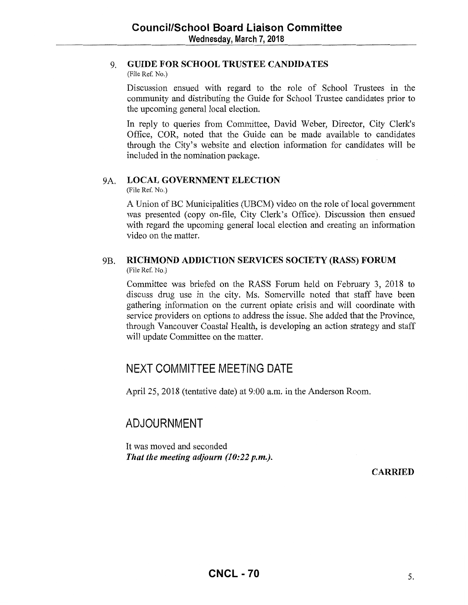#### 9. **GUIDE FOR SCHOOL TRUSTEE CANDIDATES**

(File Ref. No.)

Discussion ensued with regard to the role of School Trustees in the community and distributing the Guide for School Trustee candidates prior to the upcoming general local election.

In reply to queries from Committee, David Weber, Director, City Clerk's Office, COR, noted that the Guide can be made available to candidates through the City's website and election information for candidates will be included in the nomination package.

#### 9A. **LOCAL GOVERNMENT ELECTION**

(File Ref. No.)

A Union of BC Municipalities (UBCM) video on the role of local government was presented (copy on-file, City Clerk's Office). Discussion then ensued with regard the upcoming general local election and creating an information video on the matter.

#### 9B. **RICHMOND ADDICTION SERVICES SOCIETY (RASS) FORUM**  (File Ref. No.)

Committee was briefed on the RASS Forum held on February 3, 2018 to discuss drug use in the city. Ms. Somerville noted that staff have been gathering information on the current opiate crisis and will coordinate with service providers on options to address the issue. She added that the Province, through Vancouver Coastal Health, is developing an action strategy and staff will update Committee on the matter.

## **NEXT COMMITTEE MEETING DATE**

April25, 2018 (tentative date) at 9:00a.m. in the Anderson Room.

## **ADJOURNMENT**

It was moved and seconded *That the meeting adjourn (10:22 p.m.).* 

**CARRIED**